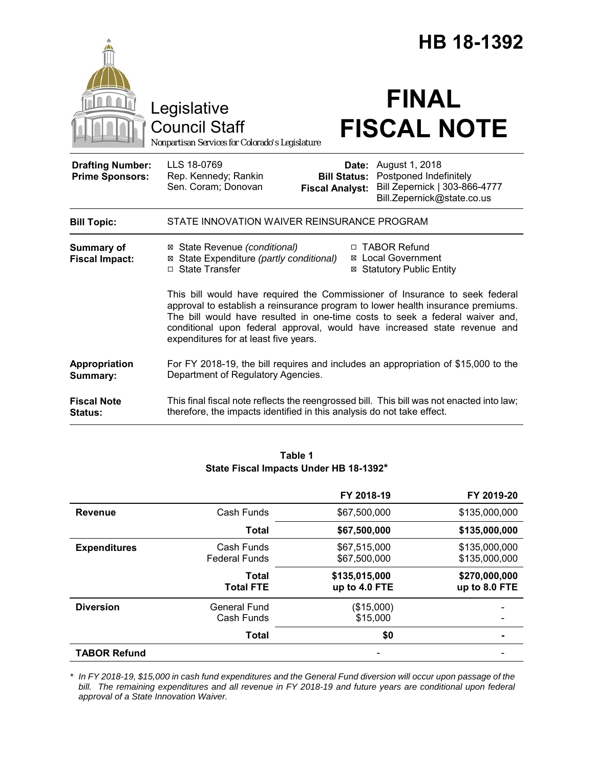|                                                   |                                                                                                                                                                                                                                                                                                                                                                      |                                                        | HB 18-1392                                                                                              |  |
|---------------------------------------------------|----------------------------------------------------------------------------------------------------------------------------------------------------------------------------------------------------------------------------------------------------------------------------------------------------------------------------------------------------------------------|--------------------------------------------------------|---------------------------------------------------------------------------------------------------------|--|
|                                                   | Legislative<br><b>Council Staff</b><br>Nonpartisan Services for Colorado's Legislature                                                                                                                                                                                                                                                                               |                                                        | <b>FINAL</b><br><b>FISCAL NOTE</b>                                                                      |  |
| <b>Drafting Number:</b><br><b>Prime Sponsors:</b> | LLS 18-0769<br>Rep. Kennedy; Rankin<br>Sen. Coram; Donovan                                                                                                                                                                                                                                                                                                           | Date:<br><b>Bill Status:</b><br><b>Fiscal Analyst:</b> | August 1, 2018<br>Postponed Indefinitely<br>Bill Zepernick   303-866-4777<br>Bill.Zepernick@state.co.us |  |
| <b>Bill Topic:</b>                                | STATE INNOVATION WAIVER REINSURANCE PROGRAM                                                                                                                                                                                                                                                                                                                          |                                                        |                                                                                                         |  |
| <b>Summary of</b><br><b>Fiscal Impact:</b>        | ⊠ State Revenue (conditional)<br>⊠ State Expenditure (partly conditional)<br>□ State Transfer                                                                                                                                                                                                                                                                        |                                                        | □ TABOR Refund<br><b>⊠</b> Local Government<br><b>⊠ Statutory Public Entity</b>                         |  |
|                                                   | This bill would have required the Commissioner of Insurance to seek federal<br>approval to establish a reinsurance program to lower health insurance premiums.<br>The bill would have resulted in one-time costs to seek a federal waiver and,<br>conditional upon federal approval, would have increased state revenue and<br>expenditures for at least five years. |                                                        |                                                                                                         |  |
| Appropriation<br>Summary:                         | For FY 2018-19, the bill requires and includes an appropriation of \$15,000 to the<br>Department of Regulatory Agencies.                                                                                                                                                                                                                                             |                                                        |                                                                                                         |  |
| <b>Fiscal Note</b><br><b>Status:</b>              | This final fiscal note reflects the reengrossed bill. This bill was not enacted into law;<br>therefore, the impacts identified in this analysis do not take effect.                                                                                                                                                                                                  |                                                        |                                                                                                         |  |

# **Table 1 State Fiscal Impacts Under HB 18-1392\***

|                     |                                    | FY 2018-19                     | FY 2019-20                     |
|---------------------|------------------------------------|--------------------------------|--------------------------------|
| <b>Revenue</b>      | Cash Funds                         | \$67,500,000                   | \$135,000,000                  |
|                     | <b>Total</b>                       | \$67,500,000                   | \$135,000,000                  |
| <b>Expenditures</b> | Cash Funds<br><b>Federal Funds</b> | \$67,515,000<br>\$67,500,000   | \$135,000,000<br>\$135,000,000 |
|                     | Total<br><b>Total FTE</b>          | \$135,015,000<br>up to 4.0 FTE | \$270,000,000<br>up to 8.0 FTE |
| <b>Diversion</b>    | <b>General Fund</b><br>Cash Funds  | (\$15,000)<br>\$15,000         |                                |
|                     | <b>Total</b>                       | \$0                            |                                |
| <b>TABOR Refund</b> |                                    |                                |                                |

*\* In FY 2018-19, \$15,000 in cash fund expenditures and the General Fund diversion will occur upon passage of the bill. The remaining expenditures and all revenue in FY 2018-19 and future years are conditional upon federal approval of a State Innovation Waiver.*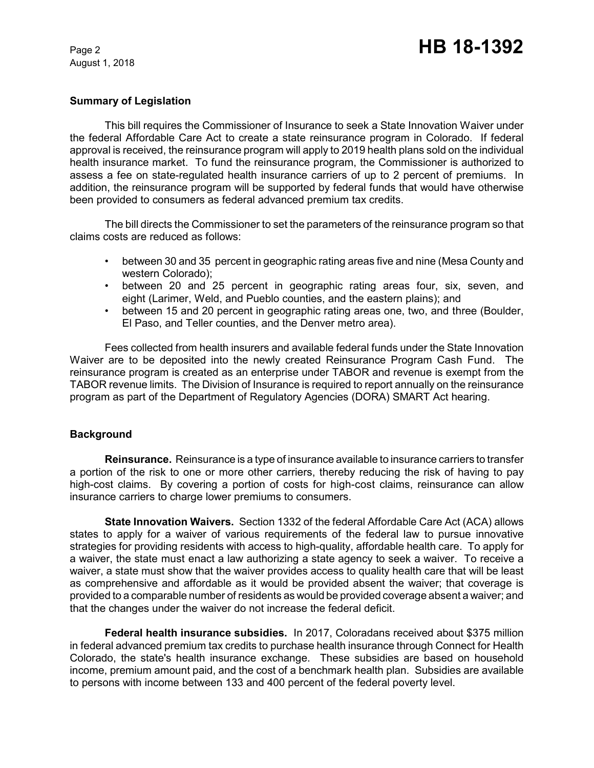## **Summary of Legislation**

This bill requires the Commissioner of Insurance to seek a State Innovation Waiver under the federal Affordable Care Act to create a state reinsurance program in Colorado. If federal approval is received, the reinsurance program will apply to 2019 health plans sold on the individual health insurance market. To fund the reinsurance program, the Commissioner is authorized to assess a fee on state-regulated health insurance carriers of up to 2 percent of premiums. In addition, the reinsurance program will be supported by federal funds that would have otherwise been provided to consumers as federal advanced premium tax credits.

The bill directs the Commissioner to set the parameters of the reinsurance program so that claims costs are reduced as follows:

- between 30 and 35 percent in geographic rating areas five and nine (Mesa County and western Colorado);
- between 20 and 25 percent in geographic rating areas four, six, seven, and eight (Larimer, Weld, and Pueblo counties, and the eastern plains); and
- between 15 and 20 percent in geographic rating areas one, two, and three (Boulder, El Paso, and Teller counties, and the Denver metro area).

Fees collected from health insurers and available federal funds under the State Innovation Waiver are to be deposited into the newly created Reinsurance Program Cash Fund. The reinsurance program is created as an enterprise under TABOR and revenue is exempt from the TABOR revenue limits. The Division of Insurance is required to report annually on the reinsurance program as part of the Department of Regulatory Agencies (DORA) SMART Act hearing.

#### **Background**

**Reinsurance.** Reinsurance is a type of insurance available to insurance carriers to transfer a portion of the risk to one or more other carriers, thereby reducing the risk of having to pay high-cost claims. By covering a portion of costs for high-cost claims, reinsurance can allow insurance carriers to charge lower premiums to consumers.

**State Innovation Waivers.** Section 1332 of the federal Affordable Care Act (ACA) allows states to apply for a waiver of various requirements of the federal law to pursue innovative strategies for providing residents with access to high-quality, affordable health care. To apply for a waiver, the state must enact a law authorizing a state agency to seek a waiver. To receive a waiver, a state must show that the waiver provides access to quality health care that will be least as comprehensive and affordable as it would be provided absent the waiver; that coverage is provided to a comparable number of residents as would be provided coverage absent a waiver; and that the changes under the waiver do not increase the federal deficit.

**Federal health insurance subsidies.** In 2017, Coloradans received about \$375 million in federal advanced premium tax credits to purchase health insurance through Connect for Health Colorado, the state's health insurance exchange. These subsidies are based on household income, premium amount paid, and the cost of a benchmark health plan. Subsidies are available to persons with income between 133 and 400 percent of the federal poverty level.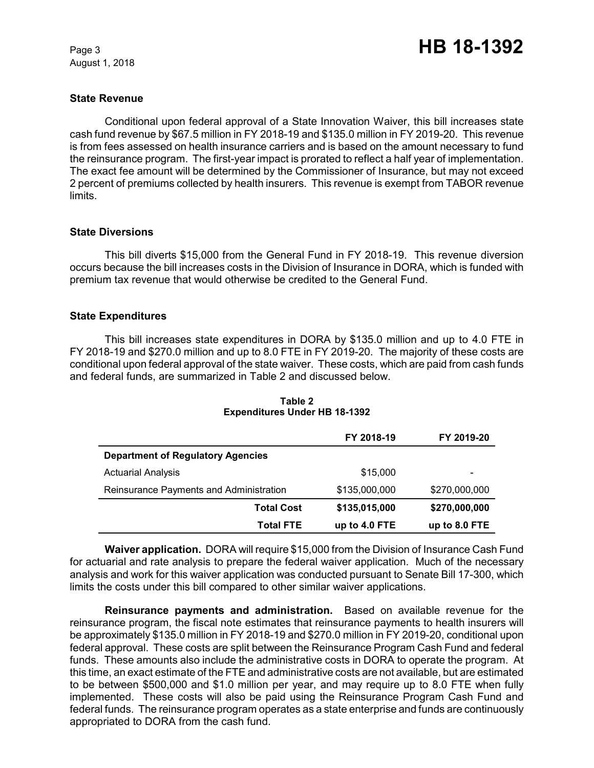#### **State Revenue**

Conditional upon federal approval of a State Innovation Waiver, this bill increases state cash fund revenue by \$67.5 million in FY 2018-19 and \$135.0 million in FY 2019-20. This revenue is from fees assessed on health insurance carriers and is based on the amount necessary to fund the reinsurance program. The first-year impact is prorated to reflect a half year of implementation. The exact fee amount will be determined by the Commissioner of Insurance, but may not exceed 2 percent of premiums collected by health insurers. This revenue is exempt from TABOR revenue limits.

#### **State Diversions**

This bill diverts \$15,000 from the General Fund in FY 2018-19. This revenue diversion occurs because the bill increases costs in the Division of Insurance in DORA, which is funded with premium tax revenue that would otherwise be credited to the General Fund.

## **State Expenditures**

This bill increases state expenditures in DORA by \$135.0 million and up to 4.0 FTE in FY 2018-19 and \$270.0 million and up to 8.0 FTE in FY 2019-20. The majority of these costs are conditional upon federal approval of the state waiver. These costs, which are paid from cash funds and federal funds, are summarized in Table 2 and discussed below.

|                                          | FY 2018-19    | FY 2019-20    |
|------------------------------------------|---------------|---------------|
| <b>Department of Regulatory Agencies</b> |               |               |
| <b>Actuarial Analysis</b>                | \$15,000      |               |
| Reinsurance Payments and Administration  | \$135,000,000 | \$270,000,000 |
| <b>Total Cost</b>                        | \$135,015,000 | \$270,000,000 |
| <b>Total FTE</b>                         | up to 4.0 FTE | up to 8.0 FTE |

**Table 2 Expenditures Under HB 18-1392**

**Waiver application.** DORA will require \$15,000 from the Division of Insurance Cash Fund for actuarial and rate analysis to prepare the federal waiver application. Much of the necessary analysis and work for this waiver application was conducted pursuant to Senate Bill 17-300, which limits the costs under this bill compared to other similar waiver applications.

**Reinsurance payments and administration.** Based on available revenue for the reinsurance program, the fiscal note estimates that reinsurance payments to health insurers will be approximately \$135.0 million in FY 2018-19 and \$270.0 million in FY 2019-20, conditional upon federal approval. These costs are split between the Reinsurance Program Cash Fund and federal funds. These amounts also include the administrative costs in DORA to operate the program. At this time, an exact estimate of the FTE and administrative costs are not available, but are estimated to be between \$500,000 and \$1.0 million per year, and may require up to 8.0 FTE when fully implemented. These costs will also be paid using the Reinsurance Program Cash Fund and federal funds. The reinsurance program operates as a state enterprise and funds are continuously appropriated to DORA from the cash fund.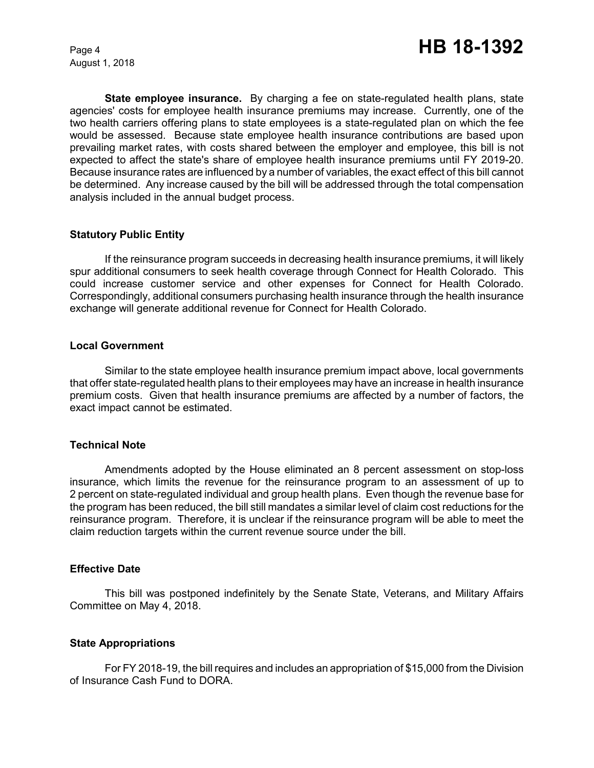**State employee insurance.** By charging a fee on state-regulated health plans, state agencies' costs for employee health insurance premiums may increase. Currently, one of the two health carriers offering plans to state employees is a state-regulated plan on which the fee would be assessed. Because state employee health insurance contributions are based upon prevailing market rates, with costs shared between the employer and employee, this bill is not expected to affect the state's share of employee health insurance premiums until FY 2019-20. Because insurance rates are influenced by a number of variables, the exact effect of this bill cannot be determined. Any increase caused by the bill will be addressed through the total compensation analysis included in the annual budget process.

## **Statutory Public Entity**

If the reinsurance program succeeds in decreasing health insurance premiums, it will likely spur additional consumers to seek health coverage through Connect for Health Colorado. This could increase customer service and other expenses for Connect for Health Colorado. Correspondingly, additional consumers purchasing health insurance through the health insurance exchange will generate additional revenue for Connect for Health Colorado.

#### **Local Government**

Similar to the state employee health insurance premium impact above, local governments that offer state-regulated health plans to their employees may have an increase in health insurance premium costs. Given that health insurance premiums are affected by a number of factors, the exact impact cannot be estimated.

#### **Technical Note**

Amendments adopted by the House eliminated an 8 percent assessment on stop-loss insurance, which limits the revenue for the reinsurance program to an assessment of up to 2 percent on state-regulated individual and group health plans. Even though the revenue base for the program has been reduced, the bill still mandates a similar level of claim cost reductions for the reinsurance program. Therefore, it is unclear if the reinsurance program will be able to meet the claim reduction targets within the current revenue source under the bill.

#### **Effective Date**

This bill was postponed indefinitely by the Senate State, Veterans, and Military Affairs Committee on May 4, 2018.

#### **State Appropriations**

For FY 2018-19, the bill requires and includes an appropriation of \$15,000 from the Division of Insurance Cash Fund to DORA.